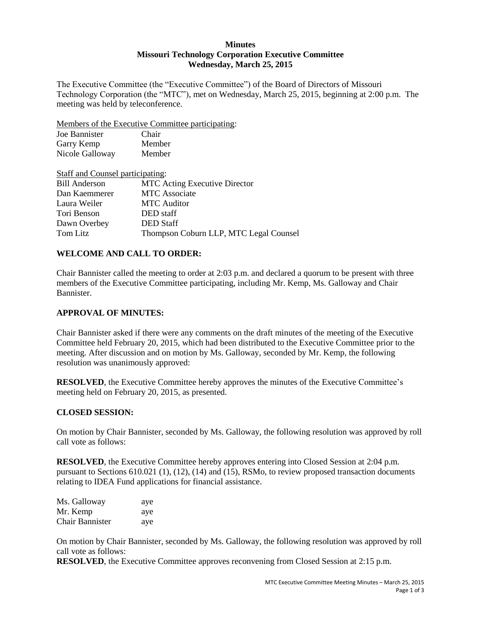## **Minutes Missouri Technology Corporation Executive Committee Wednesday, March 25, 2015**

The Executive Committee (the "Executive Committee") of the Board of Directors of Missouri Technology Corporation (the "MTC"), met on Wednesday, March 25, 2015, beginning at 2:00 p.m. The meeting was held by teleconference.

Members of the Executive Committee participating:

| Joe Bannister   | Chair  |
|-----------------|--------|
| Garry Kemp      | Member |
| Nicole Galloway | Member |

| Staff and Counsel participating: |                                        |
|----------------------------------|----------------------------------------|
| <b>Bill Anderson</b>             | <b>MTC</b> Acting Executive Director   |
| Dan Kaemmerer                    | <b>MTC</b> Associate                   |
| Laura Weiler                     | <b>MTC</b> Auditor                     |
| Tori Benson                      | DED staff                              |
| Dawn Overbey                     | <b>DED</b> Staff                       |
| Tom Litz                         | Thompson Coburn LLP, MTC Legal Counsel |

# **WELCOME AND CALL TO ORDER:**

Chair Bannister called the meeting to order at 2:03 p.m. and declared a quorum to be present with three members of the Executive Committee participating, including Mr. Kemp, Ms. Galloway and Chair Bannister.

## **APPROVAL OF MINUTES:**

Chair Bannister asked if there were any comments on the draft minutes of the meeting of the Executive Committee held February 20, 2015, which had been distributed to the Executive Committee prior to the meeting. After discussion and on motion by Ms. Galloway, seconded by Mr. Kemp, the following resolution was unanimously approved:

**RESOLVED**, the Executive Committee hereby approves the minutes of the Executive Committee's meeting held on February 20, 2015, as presented.

## **CLOSED SESSION:**

On motion by Chair Bannister, seconded by Ms. Galloway, the following resolution was approved by roll call vote as follows:

**RESOLVED**, the Executive Committee hereby approves entering into Closed Session at 2:04 p.m. pursuant to Sections 610.021 (1), (12), (14) and (15), RSMo, to review proposed transaction documents relating to IDEA Fund applications for financial assistance.

| Ms. Galloway           | aye |
|------------------------|-----|
| Mr. Kemp               | aye |
| <b>Chair Bannister</b> | aye |

On motion by Chair Bannister, seconded by Ms. Galloway, the following resolution was approved by roll call vote as follows:

**RESOLVED**, the Executive Committee approves reconvening from Closed Session at 2:15 p.m.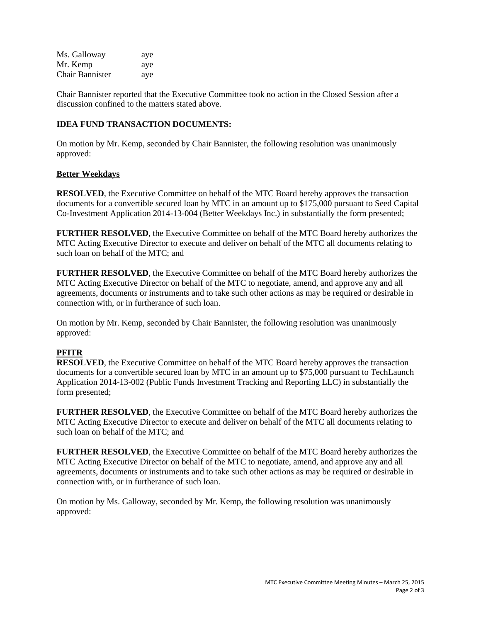| Ms. Galloway           | aye |
|------------------------|-----|
| Mr. Kemp               | aye |
| <b>Chair Bannister</b> | aye |

Chair Bannister reported that the Executive Committee took no action in the Closed Session after a discussion confined to the matters stated above.

## **IDEA FUND TRANSACTION DOCUMENTS:**

On motion by Mr. Kemp, seconded by Chair Bannister, the following resolution was unanimously approved:

## **Better Weekdays**

**RESOLVED**, the Executive Committee on behalf of the MTC Board hereby approves the transaction documents for a convertible secured loan by MTC in an amount up to \$175,000 pursuant to Seed Capital Co-Investment Application 2014-13-004 (Better Weekdays Inc.) in substantially the form presented;

**FURTHER RESOLVED**, the Executive Committee on behalf of the MTC Board hereby authorizes the MTC Acting Executive Director to execute and deliver on behalf of the MTC all documents relating to such loan on behalf of the MTC; and

**FURTHER RESOLVED**, the Executive Committee on behalf of the MTC Board hereby authorizes the MTC Acting Executive Director on behalf of the MTC to negotiate, amend, and approve any and all agreements, documents or instruments and to take such other actions as may be required or desirable in connection with, or in furtherance of such loan.

On motion by Mr. Kemp, seconded by Chair Bannister, the following resolution was unanimously approved:

# **PFITR**

**RESOLVED**, the Executive Committee on behalf of the MTC Board hereby approves the transaction documents for a convertible secured loan by MTC in an amount up to \$75,000 pursuant to TechLaunch Application 2014-13-002 (Public Funds Investment Tracking and Reporting LLC) in substantially the form presented;

**FURTHER RESOLVED**, the Executive Committee on behalf of the MTC Board hereby authorizes the MTC Acting Executive Director to execute and deliver on behalf of the MTC all documents relating to such loan on behalf of the MTC; and

**FURTHER RESOLVED**, the Executive Committee on behalf of the MTC Board hereby authorizes the MTC Acting Executive Director on behalf of the MTC to negotiate, amend, and approve any and all agreements, documents or instruments and to take such other actions as may be required or desirable in connection with, or in furtherance of such loan.

On motion by Ms. Galloway, seconded by Mr. Kemp, the following resolution was unanimously approved: